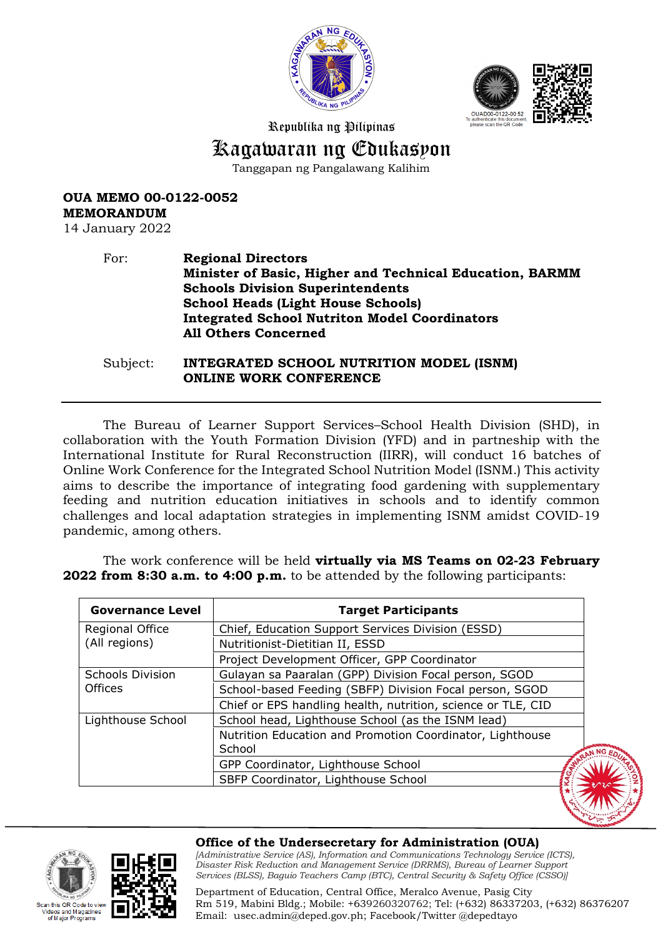



Republika ng Pilipinas

# Kagawaran ng Edukasyon

Tanggapan ng Pangalawang Kalihim

**OUA MEMO 00-0122-0052 MEMORANDUM**

14 January 2022

this OR Code to view 'ideos and Magazines<br>of Major Programs

#### For: **Regional Directors Minister of Basic, Higher and Technical Education, BARMM Schools Division Superintendents School Heads (Light House Schools) Integrated School Nutriton Model Coordinators All Others Concerned**

Subject: **INTEGRATED SCHOOL NUTRITION MODEL (ISNM) ONLINE WORK CONFERENCE** 

The Bureau of Learner Support Services–School Health Division (SHD), in collaboration with the Youth Formation Division (YFD) and in partneship with the International Institute for Rural Reconstruction (IIRR), will conduct 16 batches of Online Work Conference for the Integrated School Nutrition Model (ISNM.) This activity aims to describe the importance of integrating food gardening with supplementary feeding and nutrition education initiatives in schools and to identify common challenges and local adaptation strategies in implementing ISNM amidst COVID-19 pandemic, among others.

The work conference will be held **virtually via MS Teams on 02-23 February 2022 from 8:30 a.m. to 4:00 p.m.** to be attended by the following participants:

| <b>Governance Level</b> | <b>Target Participants</b>                                   |                 |
|-------------------------|--------------------------------------------------------------|-----------------|
| Regional Office         | Chief, Education Support Services Division (ESSD)            |                 |
| (All regions)           | Nutritionist-Dietitian II, ESSD                              |                 |
|                         | Project Development Officer, GPP Coordinator                 |                 |
| <b>Schools Division</b> | Gulayan sa Paaralan (GPP) Division Focal person, SGOD        |                 |
| <b>Offices</b>          | School-based Feeding (SBFP) Division Focal person, SGOD      |                 |
|                         | Chief or EPS handling health, nutrition, science or TLE, CID |                 |
| Lighthouse School       | School head, Lighthouse School (as the ISNM lead)            |                 |
|                         | Nutrition Education and Promotion Coordinator, Lighthouse    |                 |
|                         | School                                                       | N <sub>NG</sub> |
|                         | GPP Coordinator, Lighthouse School                           |                 |
|                         | SBFP Coordinator, Lighthouse School                          |                 |

#### **Office of the Undersecretary for Administration (OUA)**

*[Administrative Service (AS), Information and Communications Technology Service (ICTS), Disaster Risk Reduction and Management Service (DRRMS), Bureau of Learner Support Services (BLSS), Baguio Teachers Camp (BTC), Central Security & Safety Office (CSSO)]*

Department of Education, Central Office, Meralco Avenue, Pasig City Rm 519, Mabini Bldg.; Mobile: +639260320762; Tel: (+632) 86337203, (+632) 86376207 Email: [usec.admin@deped.gov.ph;](mailto:usec.admin@deped.gov.ph) Facebook/Twitter @depedtayo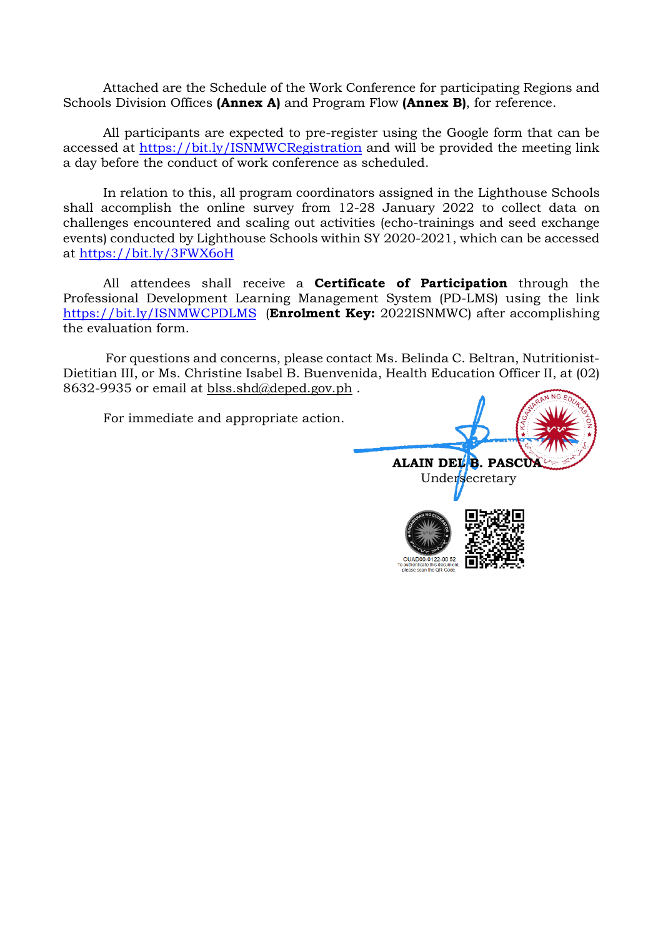Attached are the Schedule of the Work Conference for participating Regions and Schools Division Offices **(Annex A)** and Program Flow **(Annex B)**, for reference.

All participants are expected to pre-register using the Google form that can be accessed at <https://bit.ly/ISNMWCRegistration> and will be provided the meeting link a day before the conduct of work conference as scheduled.

In relation to this, all program coordinators assigned in the Lighthouse Schools shall accomplish the online survey from 12-28 January 2022 to collect data on challenges encountered and scaling out activities (echo-trainings and seed exchange events) conducted by Lighthouse Schools within SY 2020-2021, which can be accessed at <https://bit.ly/3FWX6oH>

All attendees shall receive a **Certificate of Participation** through the Professional Development Learning Management System (PD-LMS) using the link <https://bit.ly/ISNMWCPDLMS> (**Enrolment Key:** 2022ISNMWC) after accomplishing the evaluation form.

For questions and concerns, please contact Ms. Belinda C. Beltran, Nutritionist-Dietitian III, or Ms. Christine Isabel B. Buenvenida, Health Education Officer II, at (02) 8632-9935 or email at [blss.shd@deped.gov.ph](mailto:blss.shd@deped.gov.ph).

For immediate and appropriate action.

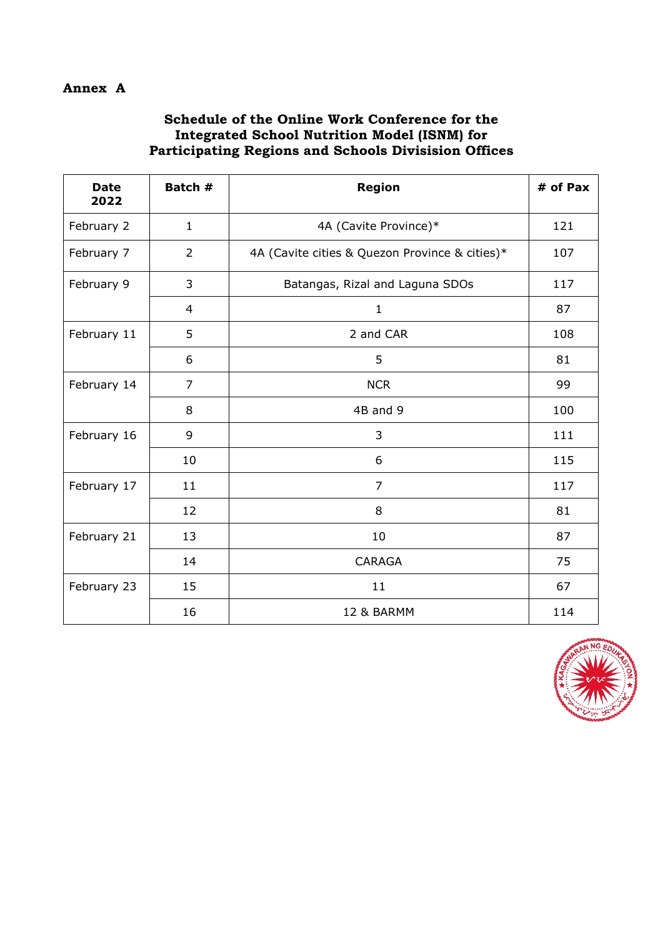### **Annex A**

## **Schedule of the Online Work Conference for the Integrated School Nutrition Model (ISNM) for Participating Regions and Schools Divisision Offices**

| <b>Date</b><br>2022 | Batch #        | <b>Region</b>                                  | # of Pax |
|---------------------|----------------|------------------------------------------------|----------|
| February 2          | $\mathbf{1}$   | 4A (Cavite Province)*                          | 121      |
| February 7          | $\overline{2}$ | 4A (Cavite cities & Quezon Province & cities)* | 107      |
| February 9          | 3              | Batangas, Rizal and Laguna SDOs                | 117      |
|                     | $\overline{4}$ | $\mathbf{1}$                                   | 87       |
| February 11         | 5              | 2 and CAR                                      | 108      |
|                     | 6              | 5                                              | 81       |
| February 14         | $\overline{7}$ | <b>NCR</b>                                     | 99       |
|                     | 8              | 4B and 9                                       | 100      |
| February 16         | 9              | 3                                              | 111      |
|                     | 10             | 6                                              | 115      |
| February 17         | 11             | $\overline{7}$                                 | 117      |
|                     | 12             | 8                                              | 81       |
| February 21         | 13             | 10                                             | 87       |
|                     | 14             | <b>CARAGA</b>                                  | 75       |
| February 23         | 15             | 11                                             | 67       |
|                     | 16             | 12 & BARMM                                     | 114      |

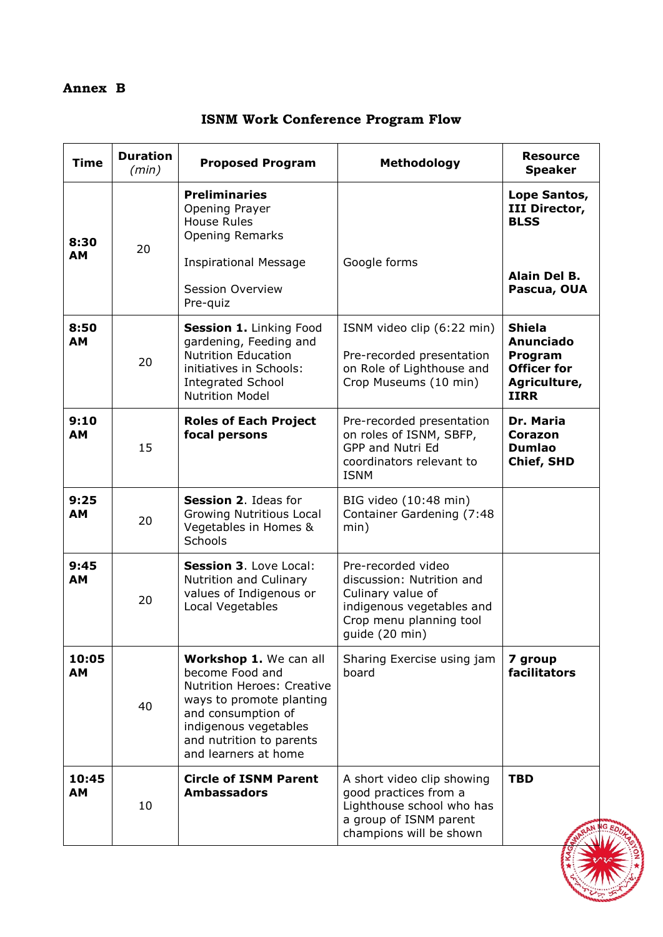# **Annex B**

|  |  | <b>ISNM Work Conference Program Flow</b> |  |  |
|--|--|------------------------------------------|--|--|
|--|--|------------------------------------------|--|--|

| <b>Time</b>        | <b>Duration</b><br>(min) | <b>Proposed Program</b>                                                                                                                                                                                       | <b>Methodology</b>                                                                                                                             | <b>Resource</b><br><b>Speaker</b>                                                          |
|--------------------|--------------------------|---------------------------------------------------------------------------------------------------------------------------------------------------------------------------------------------------------------|------------------------------------------------------------------------------------------------------------------------------------------------|--------------------------------------------------------------------------------------------|
| 8:30<br>AM         | 20                       | <b>Preliminaries</b><br>Opening Prayer<br><b>House Rules</b><br><b>Opening Remarks</b>                                                                                                                        |                                                                                                                                                | Lope Santos,<br>III Director,<br><b>BLSS</b>                                               |
|                    |                          | <b>Inspirational Message</b><br><b>Session Overview</b><br>Pre-quiz                                                                                                                                           | Google forms                                                                                                                                   | Alain Del B.<br>Pascua, OUA                                                                |
| 8:50<br><b>AM</b>  | 20                       | Session 1. Linking Food<br>gardening, Feeding and<br><b>Nutrition Education</b><br>initiatives in Schools:<br><b>Integrated School</b><br><b>Nutrition Model</b>                                              | ISNM video clip (6:22 min)<br>Pre-recorded presentation<br>on Role of Lighthouse and<br>Crop Museums (10 min)                                  | <b>Shiela</b><br>Anunciado<br>Program<br><b>Officer for</b><br>Agriculture,<br><b>IIRR</b> |
| 9:10<br>AМ         | 15                       | <b>Roles of Each Project</b><br>focal persons                                                                                                                                                                 | Pre-recorded presentation<br>on roles of ISNM, SBFP,<br>GPP and Nutri Ed<br>coordinators relevant to<br><b>ISNM</b>                            | Dr. Maria<br>Corazon<br><b>Dumlao</b><br><b>Chief, SHD</b>                                 |
| 9:25<br><b>AM</b>  | 20                       | Session 2. Ideas for<br>Growing Nutritious Local<br>Vegetables in Homes &<br>Schools                                                                                                                          | BIG video (10:48 min)<br>Container Gardening (7:48<br>min)                                                                                     |                                                                                            |
| 9:45<br><b>AM</b>  | 20                       | <b>Session 3. Love Local:</b><br>Nutrition and Culinary<br>values of Indigenous or<br>Local Vegetables                                                                                                        | Pre-recorded video<br>discussion: Nutrition and<br>Culinary value of<br>indigenous vegetables and<br>Crop menu planning tool<br>guide (20 min) |                                                                                            |
| 10:05<br>AM        | 40                       | Workshop 1. We can all<br>become Food and<br><b>Nutrition Heroes: Creative</b><br>ways to promote planting<br>and consumption of<br>indigenous vegetables<br>and nutrition to parents<br>and learners at home | Sharing Exercise using jam<br>board                                                                                                            | 7 group<br>facilitators                                                                    |
| 10:45<br><b>AM</b> | 10                       | <b>Circle of ISNM Parent</b><br><b>Ambassadors</b>                                                                                                                                                            | A short video clip showing<br>good practices from a<br>Lighthouse school who has<br>a group of ISNM parent<br>champions will be shown          | <b>TBD</b>                                                                                 |